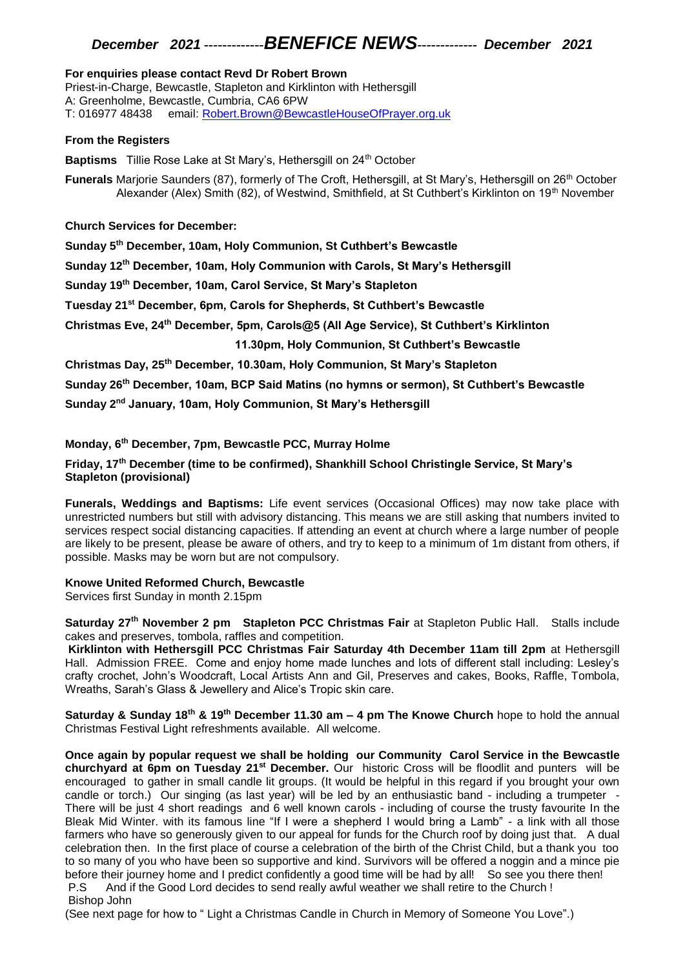### *December 2021 -------------BENEFICE NEWS------------- December 2021*

#### **For enquiries please contact Revd Dr Robert Brown**

Priest-in-Charge, Bewcastle, Stapleton and Kirklinton with Hethersgill A: Greenholme, Bewcastle, Cumbria, CA6 6PW T: 016977 48438 email: [Robert.Brown@BewcastleHouseOfPrayer.org.uk](mailto:Robert.Brown@BewcastleHouseOfPrayer.org.uk)

#### **From the Registers**

**Baptisms** Tillie Rose Lake at St Mary's, Hethersgill on 24<sup>th</sup> October

**Funerals** Marjorie Saunders (87), formerly of The Croft, Hethersgill, at St Mary's, Hethersgill on 26<sup>th</sup> October Alexander (Alex) Smith (82), of Westwind, Smithfield, at St Cuthbert's Kirklinton on 19<sup>th</sup> November

**Church Services for December:**

**Sunday 5th December, 10am, Holy Communion, St Cuthbert's Bewcastle**

**Sunday 12th December, 10am, Holy Communion with Carols, St Mary's Hethersgill**

**Sunday 19th December, 10am, Carol Service, St Mary's Stapleton**

**Tuesday 21st December, 6pm, Carols for Shepherds, St Cuthbert's Bewcastle**

**Christmas Eve, 24th December, 5pm, Carols@5 (All Age Service), St Cuthbert's Kirklinton**

 **11.30pm, Holy Communion, St Cuthbert's Bewcastle**

**Christmas Day, 25th December, 10.30am, Holy Communion, St Mary's Stapleton**

**Sunday 26th December, 10am, BCP Said Matins (no hymns or sermon), St Cuthbert's Bewcastle**

**Sunday 2nd January, 10am, Holy Communion, St Mary's Hethersgill**

#### **Monday, 6th December, 7pm, Bewcastle PCC, Murray Holme**

**Friday, 17th December (time to be confirmed), Shankhill School Christingle Service, St Mary's Stapleton (provisional)**

**Funerals, Weddings and Baptisms:** Life event services (Occasional Offices) may now take place with unrestricted numbers but still with advisory distancing. This means we are still asking that numbers invited to services respect social distancing capacities. If attending an event at church where a large number of people are likely to be present, please be aware of others, and try to keep to a minimum of 1m distant from others, if possible. Masks may be worn but are not compulsory.

#### **Knowe United Reformed Church, Bewcastle**

Services first Sunday in month 2.15pm

**Saturday 27th November 2 pm Stapleton PCC Christmas Fair** at Stapleton Public Hall. Stalls include cakes and preserves, tombola, raffles and competition.

**Kirklinton with Hethersgill PCC Christmas Fair Saturday 4th December 11am till 2pm** at Hethersgill Hall. Admission FREE. Come and enjoy home made lunches and lots of different stall including: Lesley's crafty crochet, John's Woodcraft, Local Artists Ann and Gil, Preserves and cakes, Books, Raffle, Tombola, Wreaths, Sarah's Glass & Jewellery and Alice's Tropic skin care.

**Saturday & Sunday 18th & 19th December 11.30 am – 4 pm The Knowe Church** hope to hold the annual Christmas Festival Light refreshments available. All welcome.

**Once again by popular request we shall be holding our Community Carol Service in the Bewcastle churchyard at 6pm on Tuesday 21st December.** Our historic Cross will be floodlit and punters will be encouraged to gather in small candle lit groups. (It would be helpful in this regard if you brought your own candle or torch.) Our singing (as last year) will be led by an enthusiastic band - including a trumpeter - There will be just 4 short readings and 6 well known carols - including of course the trusty favourite In the Bleak Mid Winter. with its famous line "If I were a shepherd I would bring a Lamb" - a link with all those farmers who have so generously given to our appeal for funds for the Church roof by doing just that. A dual celebration then. In the first place of course a celebration of the birth of the Christ Child, but a thank you too to so many of you who have been so supportive and kind. Survivors will be offered a noggin and a mince pie before their journey home and I predict confidently a good time will be had by all! So see you there then! P.S And if the Good Lord decides to send really awful weather we shall retire to the Church !

#### Bishop John

(See next page for how to " Light a Christmas Candle in Church in Memory of Someone You Love".)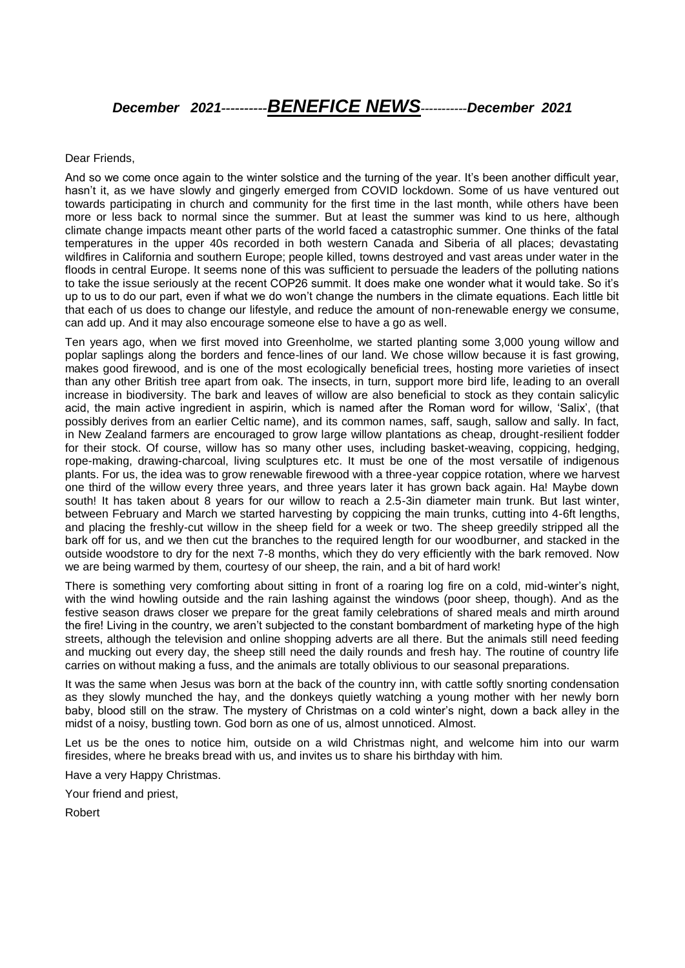# *December 2021----------BENEFICE NEWS-----------December 2021*

#### Dear Friends,

And so we come once again to the winter solstice and the turning of the year. It's been another difficult year, hasn't it, as we have slowly and gingerly emerged from COVID lockdown. Some of us have ventured out towards participating in church and community for the first time in the last month, while others have been more or less back to normal since the summer. But at least the summer was kind to us here, although climate change impacts meant other parts of the world faced a catastrophic summer. One thinks of the fatal temperatures in the upper 40s recorded in both western Canada and Siberia of all places; devastating wildfires in California and southern Europe; people killed, towns destroyed and vast areas under water in the floods in central Europe. It seems none of this was sufficient to persuade the leaders of the polluting nations to take the issue seriously at the recent COP26 summit. It does make one wonder what it would take. So it's up to us to do our part, even if what we do won't change the numbers in the climate equations. Each little bit that each of us does to change our lifestyle, and reduce the amount of non-renewable energy we consume, can add up. And it may also encourage someone else to have a go as well.

Ten years ago, when we first moved into Greenholme, we started planting some 3,000 young willow and poplar saplings along the borders and fence-lines of our land. We chose willow because it is fast growing, makes good firewood, and is one of the most ecologically beneficial trees, hosting more varieties of insect than any other British tree apart from oak. The insects, in turn, support more bird life, leading to an overall increase in biodiversity. The bark and leaves of willow are also beneficial to stock as they contain salicylic acid, the main active ingredient in aspirin, which is named after the Roman word for willow, 'Salix', (that possibly derives from an earlier Celtic name), and its common names, saff, saugh, sallow and sally. In fact, in New Zealand farmers are encouraged to grow large willow plantations as cheap, drought-resilient fodder for their stock. Of course, willow has so many other uses, including basket-weaving, coppicing, hedging, rope-making, drawing-charcoal, living sculptures etc. It must be one of the most versatile of indigenous plants. For us, the idea was to grow renewable firewood with a three-year coppice rotation, where we harvest one third of the willow every three years, and three years later it has grown back again. Ha! Maybe down south! It has taken about 8 years for our willow to reach a 2.5-3in diameter main trunk. But last winter, between February and March we started harvesting by coppicing the main trunks, cutting into 4-6ft lengths, and placing the freshly-cut willow in the sheep field for a week or two. The sheep greedily stripped all the bark off for us, and we then cut the branches to the required length for our woodburner, and stacked in the outside woodstore to dry for the next 7-8 months, which they do very efficiently with the bark removed. Now we are being warmed by them, courtesy of our sheep, the rain, and a bit of hard work!

There is something very comforting about sitting in front of a roaring log fire on a cold, mid-winter's night, with the wind howling outside and the rain lashing against the windows (poor sheep, though). And as the festive season draws closer we prepare for the great family celebrations of shared meals and mirth around the fire! Living in the country, we aren't subjected to the constant bombardment of marketing hype of the high streets, although the television and online shopping adverts are all there. But the animals still need feeding and mucking out every day, the sheep still need the daily rounds and fresh hay. The routine of country life carries on without making a fuss, and the animals are totally oblivious to our seasonal preparations.

It was the same when Jesus was born at the back of the country inn, with cattle softly snorting condensation as they slowly munched the hay, and the donkeys quietly watching a young mother with her newly born baby, blood still on the straw. The mystery of Christmas on a cold winter's night, down a back alley in the midst of a noisy, bustling town. God born as one of us, almost unnoticed. Almost.

Let us be the ones to notice him, outside on a wild Christmas night, and welcome him into our warm firesides, where he breaks bread with us, and invites us to share his birthday with him.

Have a very Happy Christmas.

Your friend and priest,

Robert